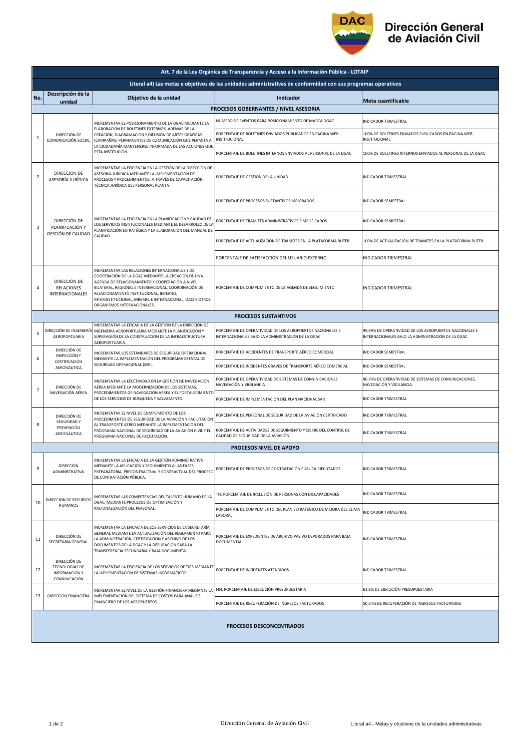

## Dirección General<br>de Aviación Civil

| Art. 7 de la Ley Orgánica de Transparencia y Acceso a la Información Pública - LOTAIP |                                                                                                                                                    |                                                                                                                                                                                                                                                                                                                                                        |                                                                                                                 |                                                                                                             |  |  |  |  |
|---------------------------------------------------------------------------------------|----------------------------------------------------------------------------------------------------------------------------------------------------|--------------------------------------------------------------------------------------------------------------------------------------------------------------------------------------------------------------------------------------------------------------------------------------------------------------------------------------------------------|-----------------------------------------------------------------------------------------------------------------|-------------------------------------------------------------------------------------------------------------|--|--|--|--|
|                                                                                       | Literal a4) Las metas y objetivos de las unidades administrativas de conformidad con sus programas operativos                                      |                                                                                                                                                                                                                                                                                                                                                        |                                                                                                                 |                                                                                                             |  |  |  |  |
| No.                                                                                   | Descripción de la<br>unidad                                                                                                                        | Objetivo de la unidad                                                                                                                                                                                                                                                                                                                                  | Indicador                                                                                                       | Meta cuantificable                                                                                          |  |  |  |  |
| PROCESOS GOBERNANTES / NIVEL ASESORIA                                                 |                                                                                                                                                    |                                                                                                                                                                                                                                                                                                                                                        |                                                                                                                 |                                                                                                             |  |  |  |  |
| 1                                                                                     | DIRECCIÓN DE<br>COMUNICACIÓN SOCIAL                                                                                                                | INCREMENTAR EL POSICIONAMIENTO DE LA DGAC MEDIANTE LA<br>ELABORACIÓN DE BOLETINES EXTERNOS, ADEMÁS DE LA<br>CREACIÓN, DIAGRAMACIÓN Y DIFUSIÓN DE ARTES GRÁFICAS<br>(CAMPAÑAS) PERMANENTES DE COMUNICACIÓN QUE PERMITA A<br>LA CIUDADANÍA MANTENERSE INFORMADA DE LAS ACCIONES QUE<br>ESTA INSTITUCIÓN.                                                 | NÚMERO DE EVENTOS PARA POSICIONAMIENTO DE MARCA DGAC                                                            | INDICADOR TRIMESTRAL                                                                                        |  |  |  |  |
|                                                                                       |                                                                                                                                                    |                                                                                                                                                                                                                                                                                                                                                        | PORCENTAJE DE BOLETINES ENVIADOS PUBLICADOS EN PÁGINA WEB<br><b>INSTITUCIONAL</b>                               | 100% DE BOLETINES ENVIADOS PUBLICADOS EN PÁGINA WEB<br>INSTITUCIONAL                                        |  |  |  |  |
|                                                                                       |                                                                                                                                                    |                                                                                                                                                                                                                                                                                                                                                        | PORCENTAJE DE BOLETINES INTERNOS ENVIADOS AL PERSONAL DE LA DGAC                                                | 100% DE BOLETINES INTERNOS ENVIADOS AL PERSONAL DE LA DGAC                                                  |  |  |  |  |
| $\overline{\mathbf{2}}$                                                               | DIRECCIÓN DE<br>ASESORÍA JURÍDICA                                                                                                                  | INCREMENTAR LA EFICIENCIA EN LA GESTIÓN DE LA DIRECCIÓN DE<br>ASESORÍA JURÍDICA MEDIANTE LA IMPLEMENTACIÓN DE<br>PROCESOS Y PROCEDIMIENTOS; A TRAVÉS DE CAPACITACIÓN<br>TÉCNICA JURÍDICA DEL PERSONAL PLANTA.                                                                                                                                          | PORCENTAJE DE GESTIÓN DE LA UNIDAD                                                                              | INDICADOR TRIMESTRAL                                                                                        |  |  |  |  |
| 3                                                                                     | DIRECCIÓN DE<br>PLANIFICACIÓN Y<br>GESTIÓN DE CALIDAD                                                                                              | INCREMENTAR LA EFICIENCIA EN LA PLANIFICACIÓN Y CALIDAD DE<br>LOS SERVICIOS INSTITUCIONALES MEDIANTE EL DESARROLLO DE LA<br>PLANIFICACIÓN ESTRATÉGICA Y LA ELABORACIÓN DEL MANUAL DE<br>CALIDAD.                                                                                                                                                       | PORCENTAJE DE PROCESOS SUSTANTIVOS MEJORADOS                                                                    | INDICADOR SEMESTRAL                                                                                         |  |  |  |  |
|                                                                                       |                                                                                                                                                    |                                                                                                                                                                                                                                                                                                                                                        | PORCENTAJE DE TRÁMITES ADMINISTRATIVOS SIMPLIFICADOS                                                            | INDICADOR SEMESTRAL                                                                                         |  |  |  |  |
|                                                                                       |                                                                                                                                                    |                                                                                                                                                                                                                                                                                                                                                        | PORCENTAJE DE ACTUALIZACIÓN DE TRÁMITES EN LA PLATAFORMA RUTER                                                  | 100% DE ACTUALIZACIÓN DE TRÁMITES EN LA PLATAFORMA RUTER                                                    |  |  |  |  |
|                                                                                       |                                                                                                                                                    |                                                                                                                                                                                                                                                                                                                                                        | PORCENTAJE DE SATISFACCIÓN DEL USUARIO EXTERNO                                                                  | INDICADOR TRIMESTRAL                                                                                        |  |  |  |  |
| 4                                                                                     | DIRECCIÓN DE<br>RELACIONES<br><b>INTERNACIONALES</b>                                                                                               | INCREMENTAR LAS RELACIONES INTERNACIONALES Y DE<br>COOPERACIÓN DE LA DGAC MEDIANTE LA CREACIÓN DE UNA<br>AGENDA DE RELACIONAMIENTO Y COOPERACIÓN A NIVEL<br>BILATERAL, REGIONAL E INTERNACIONAL, COORDINACIÓN DE<br>RELACIONAMIENTO INSTITUCIONAL, INTERNO,<br>INTERINSTITUCIONAL, MREMH, E INTERNACIONAL, OACI Y OTROS<br>ORGANISMOS INTERNACIONALES. | PORCENTAJE DE CUMPLIMIENTO DE LA AGENDA DE SEGUIMIENTO                                                          | INDICADOR TRIMESTRAL                                                                                        |  |  |  |  |
| <b>PROCESOS SUSTANTIVOS</b>                                                           |                                                                                                                                                    |                                                                                                                                                                                                                                                                                                                                                        |                                                                                                                 |                                                                                                             |  |  |  |  |
| 5                                                                                     | DIRECCIÓN DE INGENIERÍA<br>AEROPORTUARIA                                                                                                           | INCREMENTAR LA EFICACIA DE LA GESTIÓN DE LA DIRECCIÓN DE<br>INGENIERÍA AEROPORTUARIA MEDIANTE LA PLANIFICACIÓN Y<br>SUPERVISIÓN DE LA CONSTRUCCIÓN DE LA INFRAESTRUCTURA<br>AEROPORTUARIA.                                                                                                                                                             | PORCENTAJE DE OPERATIVIDAD DE LOS AEROPUERTOS NACIONALES E<br>INTERNACIONALES BAJO LA ADMINISTRACIÓN DE LA DGAC | 99,99% DE OPERATIVIDAD DE LOS AEROPUERTOS NACIONALES E<br>INTERNACIONALES BAJO LA ADMINISTRACIÓN DE LA DGAC |  |  |  |  |
|                                                                                       | DIRECCIÓN DE<br>INSPECCIÓN Y<br>MEDIANTE LA IMPLEMENTACIÓN DEL PROGRAMA ESTATAL DE<br>CERTIFICACIÓN<br>SEGURIDAD OPERACIONAL (SSP).<br>AERONÁUTICA | INCREMENTAR LOS ESTÁNDARES DE SEGURIDAD OPERACIONAL                                                                                                                                                                                                                                                                                                    | PORCENTAJE DE ACCIDENTES DE TRANSPORTE AÉREO COMERCIAL                                                          | INDICADOR SEMESTRAL                                                                                         |  |  |  |  |
| 6                                                                                     |                                                                                                                                                    |                                                                                                                                                                                                                                                                                                                                                        | PORCENTAJE DE INCIDENTES GRAVES DE TRANSPORTE AÉREO COMERCIAL                                                   | INDICADOR SEMESTRAL                                                                                         |  |  |  |  |
| $\overline{7}$                                                                        | DIRECCIÓN DE<br>NAVEGACIÓN AÉREA                                                                                                                   | INCREMENTAR LA EFECTIVIDAD EN LA GESTIÓN DE NAVEGACIÓN<br>AÉREA MEDIANTE LA MODERNIZACIÓN DE LOS SISTEMAS,<br>PROCEDIMIENTOS DE NAVEGACIÓN AÉREA Y EL FORTALECIMIENTO<br>DE LOS SERVICIOS DE BÚSQUEDA Y SALVAMENTO.                                                                                                                                    | PORCENTAJE DE OPERATIVIDAD DE SISTEMAS DE COMUNICACIONES,<br>NAVEGACIÓN Y VIGILANCIA                            | 90,74% DE OPERATIVIDAD DE SISTEMAS DE COMUNICACIONES,<br>NAVEGACIÓN Y VIGILANCIA                            |  |  |  |  |
|                                                                                       |                                                                                                                                                    |                                                                                                                                                                                                                                                                                                                                                        | PORCENTAJE DE IMPLEMENTACIÓN DEL PLAN NACIONAL SAR                                                              | INDICADOR TRIMESTRAL                                                                                        |  |  |  |  |
|                                                                                       | DIRECCIÓN DE<br><b>SEGURIDAD Y</b><br>PREVENCIÓN<br>AERONÁUTICA                                                                                    | INCREMENTAR EL NIVEL DE CUMPLIMIENTO DE LOS<br>PROCEDIMIENTOS DE SEGURIDAD DE LA AVIACIÓN Y FACILITACIÓN<br>AL TRANSPORTE AÉREO MEDIANTE LA IMPLEMENTACIÓN DEL<br>PROGRAMA NACIONAL DE SEGURIDAD DE LA AVIACIÓN CIVIL Y EL<br>PROGRAMA NACIONAL DE FACILITACIÓN.                                                                                       | PORCENTAJE DE PERSONAL DE SEGURIDAD DE LA AVIACIÓN CERTIFICADO                                                  | INDICADOR TRIMESTRAL                                                                                        |  |  |  |  |
| 8                                                                                     |                                                                                                                                                    |                                                                                                                                                                                                                                                                                                                                                        | PORCENTAJE DE ACTIVIDADES DE SEGUIMIENTO Y CIERRE DEL CONTROL DE<br>CALIDAD DE SEGURIDAD DE LA AVIACIÓN         | INDICADOR TRIMESTRAL                                                                                        |  |  |  |  |
|                                                                                       |                                                                                                                                                    |                                                                                                                                                                                                                                                                                                                                                        | PROCESOS NIVEL DE APOYO                                                                                         |                                                                                                             |  |  |  |  |
| 9                                                                                     | DIRECCIÓN<br>ADMINISTRATIVA                                                                                                                        | INCREMENTAR LA EFICACIA DE LA GESTIÓN ADMINISTRATIVA<br>MEDIANTE LA APLICACIÓN Y SEGUIMIENTO A LAS FASES<br>PREPARATORIA, PRECONTRACTUAL Y CONTRACTUAL DEL PROCESO<br>DE CONTRATACIÓN PÚBLICA.                                                                                                                                                         | PORCENTAJE DE PROCESOS DE CONTRATACIÓN PÚBLICA EJECUTADOS                                                       | INDICADOR TRIMESTRAL                                                                                        |  |  |  |  |
| 10                                                                                    | DIRECCIÓN DE RECURSOS<br><b>HUMANOS</b>                                                                                                            | INCREMENTAR LAS COMPETENCIAS DEL TALENTO HUMANO DE LA<br>DGAC, MEDIANTE PROCESOS DE OPTIMIZACIÓN Y<br>RACIONALIZACIÓN DEL PERSONAL.                                                                                                                                                                                                                    | TH: PORCENTAJE DE INCLUSIÓN DE PERSONAS CON DISCAPACIDADES                                                      | INDICADOR TRIMESTRAL                                                                                        |  |  |  |  |
|                                                                                       |                                                                                                                                                    |                                                                                                                                                                                                                                                                                                                                                        | PORCENTAJE DE CUMPLIMIENTO DEL PLAN ESTRATÉGICO DE MEJORA DEL CLIMA<br>LABORAL                                  | INDICADOR TRIMESTRAL                                                                                        |  |  |  |  |
| 11                                                                                    | DIRECCIÓN DE<br>SECRETARÍA GENERAL                                                                                                                 | INCREMENTAR LA EFICACIA DE LOS SERVICIOS DE LA SECRETARÍA<br>GENERAL MEDIANTE LA ACTUALIZACIÓN DEL REGLAMENTO PARA<br>LA ADMINISTRACIÓN, CERTIFICACIÓN Y ARCHIVO DE LOS<br>DOCUMENTOS DE LA DGAC Y LA DEPURACIÓN PARA LA<br>TRANSFERENCIA SECUNDARIA Y BAJA DOCUMENTAL.                                                                                | PORCENTAJE DE EXPEDIENTES DE ARCHIVO PASIVO DEPURADOS PARA BAJA<br>DOCUMENTAL                                   | INDICADOR TRIMESTRAL                                                                                        |  |  |  |  |
| 12                                                                                    | DIRECCIÓN DE<br>TECNOLOGÍAS DE<br>INFORMACIÓN Y<br>COMUNICACIÓN                                                                                    | INCREMENTAR LA EFICIENCIA DE LOS SERVICIOS DE TICS MEDIANTE<br>LA IMPLEMENTACIÓN DE SISTEMAS INFORMÁTICOS.                                                                                                                                                                                                                                             | PORCENTAJE DE INCIDENTES ATENDIDOS                                                                              | <b>INDICADOR TRIMESTRAL</b>                                                                                 |  |  |  |  |
| 13                                                                                    | DIRECCIÓN FINANCIERA                                                                                                                               | INCREMENTAR EL NIVEL DE LA GESTIÓN FINANCIERA MEDIANTE LA<br>IMPLEMENTACIÓN DEL SISTEMA DE COSTOS PARA ANÁLISIS<br>FINANCIERO DE LOS AEROPUERTOS.                                                                                                                                                                                                      | FIN: PORCENTAJE DE EJECUCIÓN PRESUPUESTARIA                                                                     | 61,9% DE EJECUCIÓN PRESUPUESTARIA                                                                           |  |  |  |  |
|                                                                                       |                                                                                                                                                    |                                                                                                                                                                                                                                                                                                                                                        | PORCENTAJE DE RECUPERACIÓN DE INGRESOS FACTURADOS                                                               | 50,34% DE RECUPERACIÓN DE INGRESOS FACTURADOS                                                               |  |  |  |  |
| PROCESOS DESCONCENTRADOS                                                              |                                                                                                                                                    |                                                                                                                                                                                                                                                                                                                                                        |                                                                                                                 |                                                                                                             |  |  |  |  |